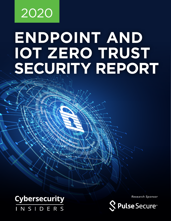# 2020

# **ENDPOINT AND IOT ZERO TRUST SECURITY REPORT**

#### **Cybersecurity** NSIDERS

Research Sponsor

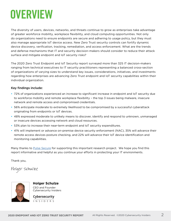#### **OVERVIEW**

The diversity of users, devices, networks, and threats continue to grow as enterprises take advantage of greater workforce mobility, workplace flexibility, and cloud computing opportunities. Not only do organizations need to ensure endpoints are secure and adhering to usage policy, but they must also manage appropriate IoT device access. New Zero Trust security controls can fortify dynamic device discovery, verification, tracking, remediation, and access enforcement. What are the trends and defense mechanisms that IT and security decision-makers should consider to reduce their attack surface and mitigate endpoint and IoT security risks?

The 2020 Zero Trust Endpoint and IoT Security report surveyed more than 325 IT decision-makers ranging from technical executives to IT security practitioners representing a balanced cross-section of organizations of varying sizes to understand key issues, considerations, initiatives, and investments regarding how enterprises are advancing Zero Trust endpoint and IoT security capabilities within their individual organization.

#### Key findings include:

- **•** 72% of organizations experienced an increase to significant increase in endpoint and IoT security due to workforce mobility and remote workplace flexibility – the top 3 issues being malware, insecure network and remote access and compromised credentials.
- **•** 56% anticipate moderate to extremely likelihood to be compromised by a successful cyberattack originating from endpoints or IoT devices.
- **•** 48% expressed moderate to unlikely means to discover, identify and respond to unknown, unmanaged or insecure devices accessing network and cloud resources.
- **•** 53% plan to increase their near-term endpoint and IoT security expenditures.
- **•** 41% will implement or advance on-premise device security enforcement (NAC), 35% will advance their remote access devices posture checking, and 22% will advance their IoT device identification and monitoring capabilities.

Many thanks to [Pulse Secure](https://www.pulsesecure.net/) for supporting this important research project. We hope you find this report informative and helpful as you continue your efforts in protecting your IT environments.

Thank you,

Holger Schulze



**Holger Schulze** CEO and Founder Cybersecurity Insiders

**Cybersecurity**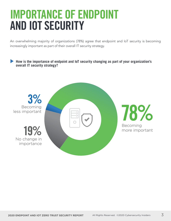#### IMPORTANCE OF ENDPOINT AND IOT SECURITY

An overwhelming majority of organizations (78%) agree that endpoint and IoT security is becoming increasingly important as part of their overall IT security strategy.

#### **How is the importance of endpoint and IoT security changing as part of your organization's overall IT security strategy?**

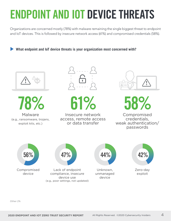## ENDPOINT AND IOT DEVICE THREATS

Organizations are concerned mostly (78%) with malware remaining the single biggest threat to endpoint and IoT devices. This is followed by insecure network access (61%) and compromised credentials (58%).

**What endpoint and IoT device threats is your organization most concerned with?** 





Malware (e.g., ransomware, trojans, exploit kits, etc.)





Insecure network access, remote access or data transfer



Compromised 58%

credentials, weak authentication/ passwords



Compromised device



Lack of endpoint compliance, insecure device use (e.g., poor settings, not updated)



Unknown, unmanaged device



Zero-day exploit

Other 2%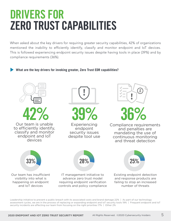#### DRIVERS FOR ZERO TRUST CAPABILITIES

When asked about the key drivers for requiring greater security capabilities, 42% of organizations mentioned the inability to efficiently identify, classify and monitor endpoint and IoT devices. This is followed experiencing endpoint security issues despite having tools in place (39%) and by compliance requirements (36%).

#### **What are the key drivers for invoking greater, Zero Trust EDR capabilities?**



Leadership initiative to prevent a public breach with its associated costs and brand damage 22% | As part of our technology assessment cycles, we are in the process of replacing or expanding endpoint and IoT security tools 19% | Frequent endpoint and IoT security incidents are affecting our team from focusing on the right priorities 17% | Other 2%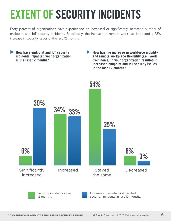## EXTENT OF SECURITY INCIDENTS

Forty percent of organizations have experienced an increased or significantly increased number of endpoint and IoT security incidents. Specifically, the increase in remote work has impacted a 72% increase in security issues of the last 12 months.



Increase in remote work related security incidents in last 12 months.

12 months.

Security incidents in last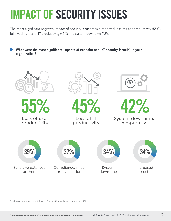# IMPACT OF SECURITY ISSUES

The most significant negative impact of security issues was a reported loss of user productivity (55%), followed by loss of IT productivity (45%) and system downtime (42%).

**What were the most significant impacts of endpoint and IoT security issue(s) in your organization?** 



Business revenue impact 29% | Reputation or brand damage 24%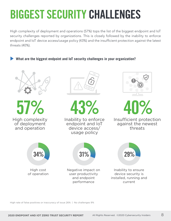### BIGGEST SECURITY CHALLENGES

High complexity of deployment and operations (57%) tops the list of the biggest endpoint and IoT security challenges reported by organizations. This is closely followed by the inability to enforce endpoint and IoT device access/usage policy (43%) and the insufficient protection against the latest threats (40%).

**What are the biggest endpoint and IoT security challenges in your organization?** 

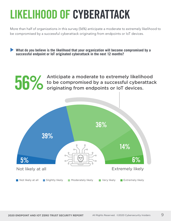## LIKELIHOOD OF CYBERATTACK

More than half of organizations in this survey (56%) anticipate a moderate to extremely likelihood to be compromised by a successful cyberattack originating from endpoints or IoT devices.

**What do you believe is the likelihood that your organization will become compromised by a successful endpoint or IoT originated cyberattack in the next 12 months?** 

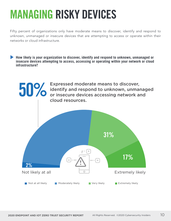#### MANAGING RISKY DEVICES

Fifty percent of organizations only have moderate means to discover, identify and respond to unknown, unmanaged or insecure devices that are attempting to access or operate within their networks or cloud infrastructure.

**How likely is your organization to discover, identify and respond to unknown, unmanaged or insecure devices attempting to access, accessing or operating within your network or cloud infrastructure?** 

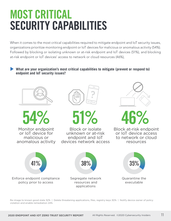#### MOST CRITICAL SECURITY CAPABILITIES

When it comes to the most critical capabilities required to mitigate endpoint and IoT security issues, organizations prioritize monitoring endpoint or IoT devices for malicious or anomalous activity (54%). Followed by blocking or isolating unknown or at-risk endpoint and IoT devices (51%), and blocking at-risk endpoint or IoT devices' access to network or cloud resources (46%),

**What are your organization's most critical capabilities to mitigate (prevent or respond to) endpoint and IoT security issues?** 



54%

Monitor endpoint or IoT device for malicious or anomalous activity



51%

Block or isolate unknown or at-risk endpoint and IoT devices network access



46%

Block at-risk endpoint or IoT device access to network or cloud resources



Re-image to known good state 32% | Delete threatening applications, files, registry keys 30% | Notify device owner of policy violation and enable remediation 24%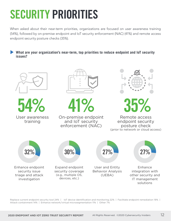# SECURITY PRIORITIES

When asked about their near-term priorities, organizations are focused on user awareness training (54%), followed by on-premise endpoint and IoT security enforcement (NAC) (41%) and remote access endpoint security posture checks (35%).

**What are your organization's near-term, top priorities to reduce endpoint and IoT security issues?** 



Replace current endpoint security tool 24% | IoT device identification and monitoring 22% | Facilitate endpoint remediation 19% | Attack containment 14% | Enhance network/virtual microsegmentation 11% | Other 7%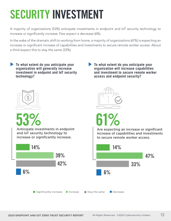## SECURITY INVESTMENT

A majority of organizations (53%) anticipate investments in endpoint and IoT security technology to increase or significantly increase. Few expect a decrease (6%).

In the wake of the dramatic shift to working from home, a majority of organizations (61%) is expecting an increase or significant increase of capabilities and investments to secure remote worker access. About a third expect this to stay the same (33%).

**To what extent do you anticipate your organization will generally increase investment in endpoint and IoT security technology?** 

**To what extent do you anticipate your organization will increase capabilities and investment to secure remote worker access and endpoint security?** 



53%

Anticipate investments in endpoint and IoT security technology to increase or significantly increase.





61%

Are expecting an increase or significant increase of capabilities and investments to secure remote worker access.